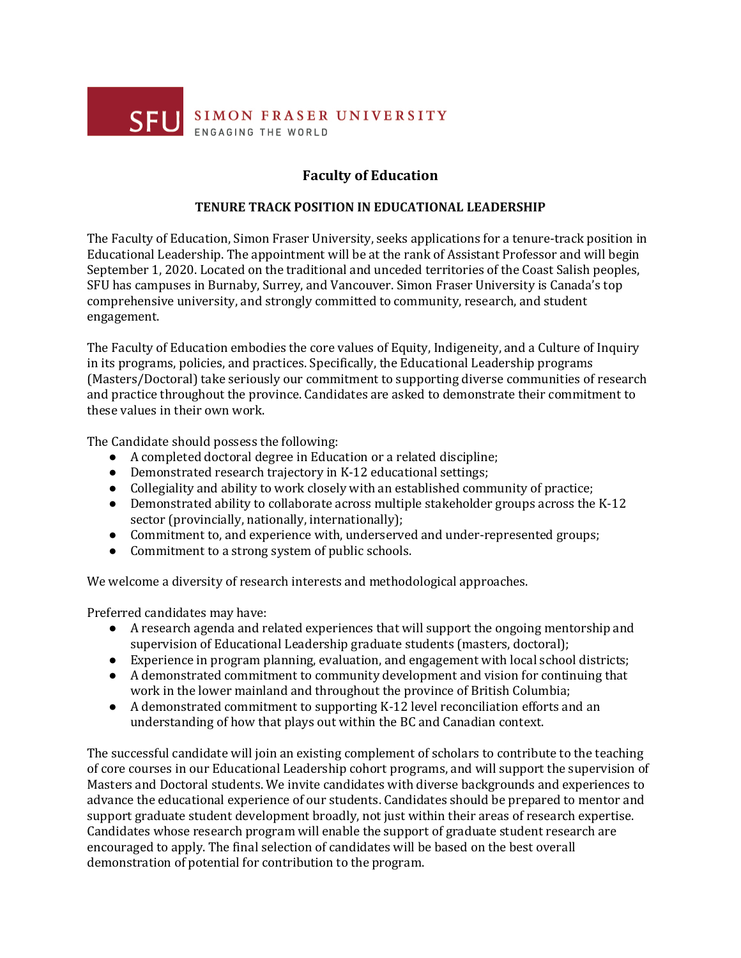

## **Faculty of Education**

## **TENURE TRACK POSITION IN EDUCATIONAL LEADERSHIP**

The Faculty of Education, Simon Fraser University, seeks applications for a tenure-track position in Educational Leadership. The appointment will be at the rank of Assistant Professor and will begin September 1, 2020. Located on the traditional and unceded territories of the Coast Salish peoples, SFU has campuses in Burnaby, Surrey, and Vancouver. Simon Fraser University is Canada's top comprehensive university, and strongly committed to community, research, and student engagement.

The Faculty of Education embodies the core values of Equity, Indigeneity, and a Culture of Inquiry in its programs, policies, and practices. Specifically, the Educational Leadership programs (Masters/Doctoral) take seriously our commitment to supporting diverse communities of research and practice throughout the province. Candidates are asked to demonstrate their commitment to these values in their own work.

The Candidate should possess the following:

- A completed doctoral degree in Education or a related discipline;
- Demonstrated research trajectory in K-12 educational settings;
- Collegiality and ability to work closely with an established community of practice;
- Demonstrated ability to collaborate across multiple stakeholder groups across the K-12 sector (provincially, nationally, internationally);
- Commitment to, and experience with, underserved and under-represented groups;
- Commitment to a strong system of public schools.

We welcome a diversity of research interests and methodological approaches.

Preferred candidates may have:

- A research agenda and related experiences that will support the ongoing mentorship and supervision of Educational Leadership graduate students (masters, doctoral);
- Experience in program planning, evaluation, and engagement with local school districts;
- A demonstrated commitment to community development and vision for continuing that work in the lower mainland and throughout the province of British Columbia;
- A demonstrated commitment to supporting K-12 level reconciliation efforts and an understanding of how that plays out within the BC and Canadian context.

The successful candidate will join an existing complement of scholars to contribute to the teaching of core courses in our Educational Leadership cohort programs, and will support the supervision of Masters and Doctoral students. We invite candidates with diverse backgrounds and experiences to advance the educational experience of our students. Candidates should be prepared to mentor and support graduate student development broadly, not just within their areas of research expertise. Candidates whose research program will enable the support of graduate student research are encouraged to apply. The final selection of candidates will be based on the best overall demonstration of potential for contribution to the program.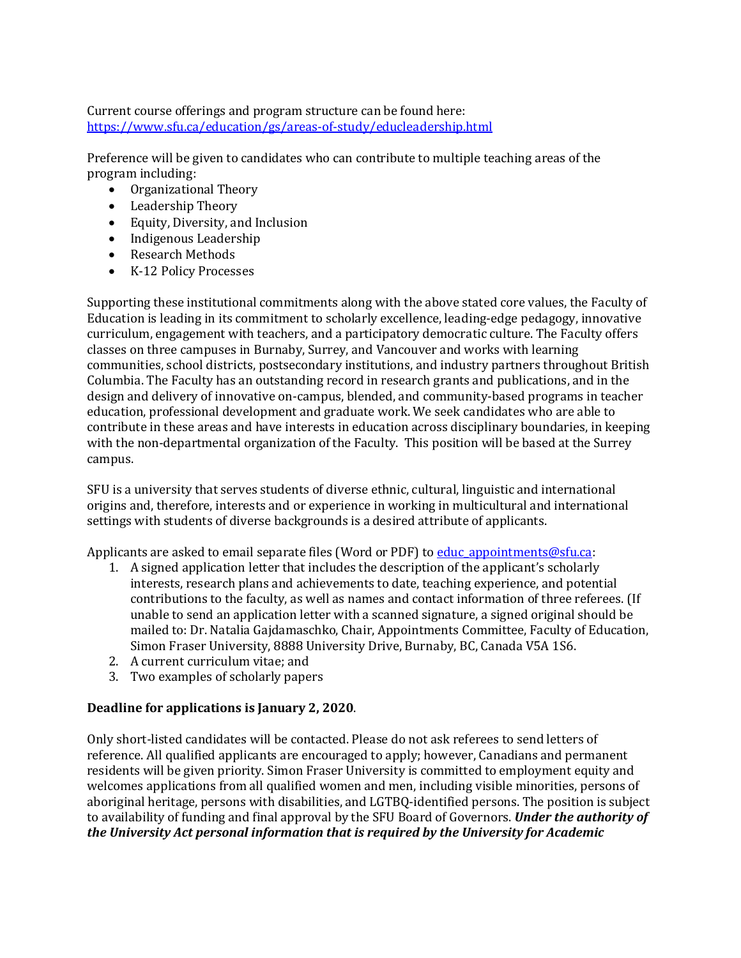Current course offerings and program structure can be found here: https://www.sfu.ca/education/gs/areas-of-study/educleadership.html

Preference will be given to candidates who can contribute to multiple teaching areas of the program including:

- Organizational Theory
- Leadership Theory
- Equity, Diversity, and Inclusion
- Indigenous Leadership
- Research Methods
- K-12 Policy Processes

Supporting these institutional commitments along with the above stated core values, the Faculty of Education is leading in its commitment to scholarly excellence, leading-edge pedagogy, innovative curriculum, engagement with teachers, and a participatory democratic culture. The Faculty offers classes on three campuses in Burnaby, Surrey, and Vancouver and works with learning communities, school districts, postsecondary institutions, and industry partners throughout British Columbia. The Faculty has an outstanding record in research grants and publications, and in the design and delivery of innovative on-campus, blended, and community-based programs in teacher education, professional development and graduate work. We seek candidates who are able to contribute in these areas and have interests in education across disciplinary boundaries, in keeping with the non-departmental organization of the Faculty. This position will be based at the Surrey campus.

SFU is a university that serves students of diverse ethnic, cultural, linguistic and international origins and, therefore, interests and or experience in working in multicultural and international settings with students of diverse backgrounds is a desired attribute of applicants.

Applicants are asked to email separate files (Word or PDF) to educ appointments@sfu.ca:

- 1. A signed application letter that includes the description of the applicant's scholarly interests, research plans and achievements to date, teaching experience, and potential contributions to the faculty, as well as names and contact information of three referees. (If unable to send an application letter with a scanned signature, a signed original should be mailed to: Dr. Natalia Gajdamaschko, Chair, Appointments Committee, Faculty of Education, Simon Fraser University, 8888 University Drive, Burnaby, BC, Canada V5A 1S6.
- 2. A current curriculum vitae: and
- 3. Two examples of scholarly papers

## **Deadline for applications is January 2, 2020.**

Only short-listed candidates will be contacted. Please do not ask referees to send letters of reference. All qualified applicants are encouraged to apply; however, Canadians and permanent residents will be given priority. Simon Fraser University is committed to employment equity and welcomes applications from all qualified women and men, including visible minorities, persons of aboriginal heritage, persons with disabilities, and LGTBQ-identified persons. The position is subject to availability of funding and final approval by the SFU Board of Governors. **Under the authority of** the University Act personal information that is required by the University for Academic